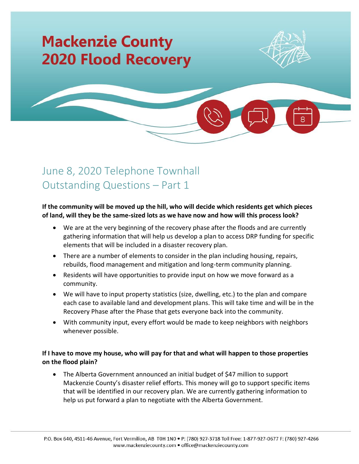# **Mackenzie County 2020 Flood Recovery**



## June 8, 2020 Telephone Townhall Outstanding Questions – Part 1

#### **If the community will be moved up the hill, who will decide which residents get which pieces of land, will they be the same-sized lots as we have now and how will this process look?**

- We are at the very beginning of the recovery phase after the floods and are currently gathering information that will help us develop a plan to access DRP funding for specific elements that will be included in a disaster recovery plan.
- There are a number of elements to consider in the plan including housing, repairs, rebuilds, flood management and mitigation and long-term community planning.
- Residents will have opportunities to provide input on how we move forward as a community.
- We will have to input property statistics (size, dwelling, etc.) to the plan and compare each case to available land and development plans. This will take time and will be in the Recovery Phase after the Phase that gets everyone back into the community.
- With community input, every effort would be made to keep neighbors with neighbors whenever possible.

### **If I have to move my house, who will pay for that and what will happen to those properties on the flood plain?**

• The Alberta Government announced an initial budget of \$47 million to support Mackenzie County's disaster relief efforts. This money will go to support specific items that will be identified in our recovery plan. We are currently gathering information to help us put forward a plan to negotiate with the Alberta Government.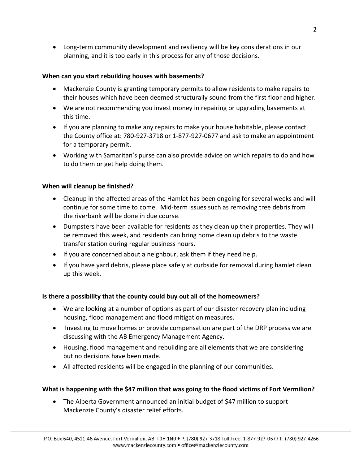• Long-term community development and resiliency will be key considerations in our planning, and it is too early in this process for any of those decisions.

#### **When can you start rebuilding houses with basements?**

- Mackenzie County is granting temporary permits to allow residents to make repairs to their houses which have been deemed structurally sound from the first floor and higher.
- We are not recommending you invest money in repairing or upgrading basements at this time.
- If you are planning to make any repairs to make your house habitable, please contact the County office at: 780-927-3718 or 1-877-927-0677 and ask to make an appointment for a temporary permit.
- Working with Samaritan's purse can also provide advice on which repairs to do and how to do them or get help doing them.

#### **When will cleanup be finished?**

- Cleanup in the affected areas of the Hamlet has been ongoing for several weeks and will continue for some time to come. Mid-term issues such as removing tree debris from the riverbank will be done in due course.
- Dumpsters have been available for residents as they clean up their properties. They will be removed this week, and residents can bring home clean up debris to the waste transfer station during regular business hours.
- If you are concerned about a neighbour, ask them if they need help.
- If you have yard debris, please place safely at curbside for removal during hamlet clean up this week.

#### **Is there a possibility that the county could buy out all of the homeowners?**

- We are looking at a number of options as part of our disaster recovery plan including housing, flood management and flood mitigation measures.
- Investing to move homes or provide compensation are part of the DRP process we are discussing with the AB Emergency Management Agency.
- Housing, flood management and rebuilding are all elements that we are considering but no decisions have been made.
- All affected residents will be engaged in the planning of our communities.

#### **What is happening with the \$47 million that was going to the flood victims of Fort Vermilion?**

• The Alberta Government announced an initial budget of \$47 million to support Mackenzie County's disaster relief efforts.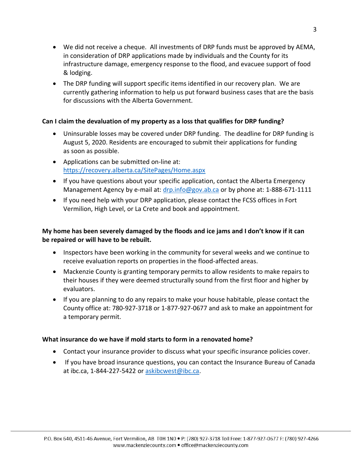- We did not receive a cheque. All investments of DRP funds must be approved by AEMA, in consideration of DRP applications made by individuals and the County for its infrastructure damage, emergency response to the flood, and evacuee support of food & lodging.
- The DRP funding will support specific items identified in our recovery plan. We are currently gathering information to help us put forward business cases that are the basis for discussions with the Alberta Government.

#### **Can I claim the devaluation of my property as a loss that qualifies for DRP funding?**

- Uninsurable losses may be covered under DRP funding. The deadline for DRP funding is August 5, 2020. Residents are encouraged to submit their applications for funding as soon as possible.
- Applications can be submitted on-line at: <https://recovery.alberta.ca/SitePages/Home.aspx>
- If you have questions about your specific application, contact the Alberta Emergency Management Agency by e-mail at: [drp.info@gov.ab.ca](mailto:drp.info@gov.ab.ca) or by phone at: 1-888-671-1111
- If you need help with your DRP application, please contact the FCSS offices in Fort Vermilion, High Level, or La Crete and book and appointment.

#### **My home has been severely damaged by the floods and ice jams and I don't know if it can be repaired or will have to be rebuilt.**

- Inspectors have been working in the community for several weeks and we continue to receive evaluation reports on properties in the flood-affected areas.
- Mackenzie County is granting temporary permits to allow residents to make repairs to their houses if they were deemed structurally sound from the first floor and higher by evaluators.
- If you are planning to do any repairs to make your house habitable, please contact the County office at: 780-927-3718 or 1-877-927-0677 and ask to make an appointment for a temporary permit.

#### **What insurance do we have if mold starts to form in a renovated home?**

- Contact your insurance provider to discuss what your specific insurance policies cover.
- If you have broad insurance questions, you can contact the Insurance Bureau of Canada at ibc.ca, 1-844-227-5422 or [askibcwest@ibc.ca.](mailto:askibcwest@ibc.ca)